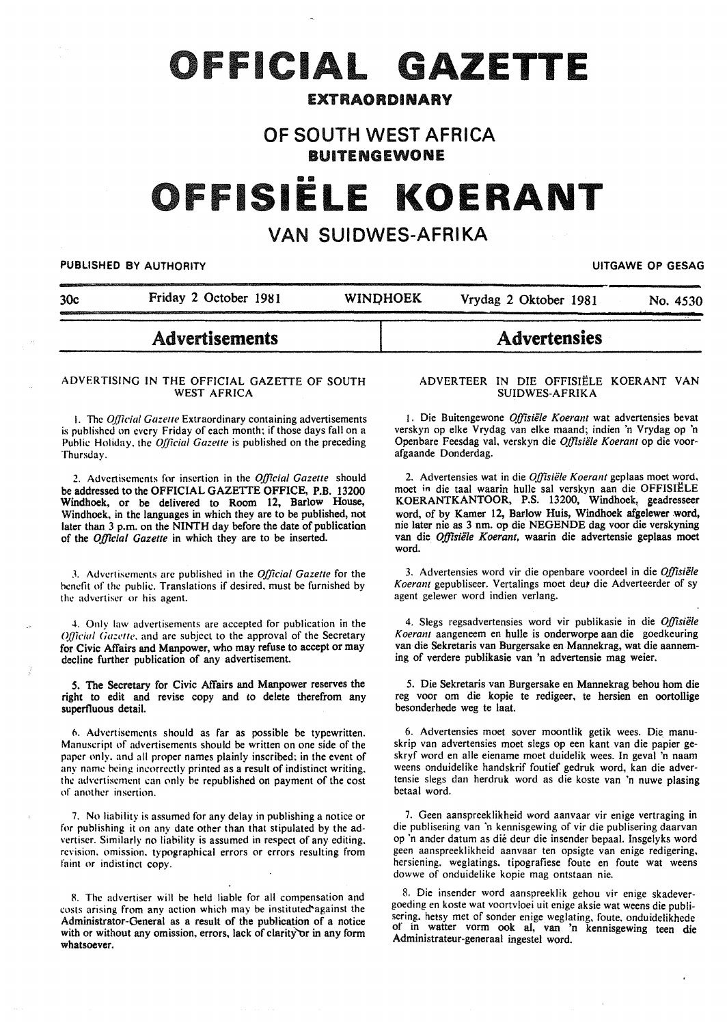# **OFFICIAL GAZETTE**

### EXTRAORDINARY

# OF SOUTH WEST AFRICA BUITENGEWONE

# FISIËLE KOERANT

# VAN SUIDWES-AFRIKA

#### PUBLISHED BY AUTHORITY **Internal and the CONTROL** CONTROL CONTROL CONTROL CONTROL CONTROL CONTROL CONTROL CONTROL CONTROL CONTROL CONTROL CONTROL CONTROL CONTROL CONTROL CONTROL CONTROL CONTROL CONTROL CONTROL CONTROL CONT

30c Friday 2 October 1981 WINI)HOEK Vrydag 2 Oktober 1981 No. 4530

# Advertisements

#### ADVERTISING IN THE OFFICIAL GAZETTE OF SOUTH WEST AFRICA

1. The *Official Gazette* Extraordinary containing advertisements is published on every Friday of each month; if those days fall on a Public Holiday. the *Official Gazette* is published on the preceding Thursday.

2. Advertisements fnr insertion in the *Official Gazette* should be addressed to the OFFICIAL GAZETTE OFFICE, P.B. 13200 Windhoek, or be delivered to Room 12, Barlow House, Windhoek, in the languages in which they are to be published, not later than 3 p.m. on the NINTH day before the date of publication of the *Official Gazette* in which they are to be inserted.

J. Advertisements arc published in the *Official Gazette* for the hcndit of the public. Translations if desired. must be furnished by the advertiser or his agent.

4. Only law advertisements are accepted for publication in the *Official Gazette*, and are subject to the approval of the Secretary for Civic Affairs and Manpower, who may refuse to accept or may decline further publication of any advertisement.

*S.* The Secretary for Civic Affairs and Manpower reserves the right to edit and revise copy and *to* delete therefrom any superfluous detail.

o. Advertisements should as far as possible be typewritten. Manuscript of advertisements should be written on one side of the paper only. and all proper names plainly inscribed; in the event of any name hcing incorrectly printed as a result of indistinct writing. the advertisement can only be republished on payment of the cost of another insertion.

7. No liability is assumed for any delay in publishing a notice or for publishing it on any date other than that stipulated by the advertiser. Similarly no liability is assumed in respect of any editing. revision. omission. typographical errors or errors resulting from faint or indistinct copy.

R. The advertiser will be held liable for all compensation and costs arising from any action which may be instituted against the Administrator-General as a result of the publication of a notice with or without any omission, errors, lack of clarity or in any form whatsoever.

#### ADVERTEER IN DIE OFFISIELE KOERANT VAN SUIDWES-AFRIKA

**Advertensies** 

1. Die Buitengewone Offisiële Koerant wat advertensies bevat verskyn op elke Vrydag van elke maand; indien 'n Vrydag op 'n Openbare Feesdag val, verskyn die *Offisiële Koerant* op die voorafgaande Donderdag.

2. Advertensies wat in die *Offisiële Koerant* geplaas moet word, moet in die taal waarin hulle sal verskyn aan die OFFISIELE KOERANTKANTOOR, P.S. 13200, Windhoek, geadresseer word. of by Kamer 12, Barlow Huis, Windhoek afgelewer word, nie later nie as 3 nm. op die NEGENDE dag voor die verskyning van die *Offisiele Koerant,* waarin die advertensie geplaas moet word.

3. Advertensies word vir die openbare voordeel in die *Offisiële* Koerant gepubliseer. Vertalings moet deut die Adverteerder of sy agent gelewer word indien verlang.

4. Slegs regsadvertensies word vir publikasie in die *Offisiële K oerant* aangeneem en bulle is onderworpe aan die goedkeuring van die Sekretaris van Burgersake en Mannekrag, wat die aanneming of verdere publikasie van 'n advertensie mag weier.

5. Die Sekretaris van Burgersake en Mannekrag behou hom die reg voor om die kopie te redigeer, te hersien en oortollige besonderhede weg te laat.

6. Advertensies moet sover moontlik getik wees. Die manuskrip van advertensies moet slegs op een kant van die papier geskryf word en aile eiename moet duidelik wees. In geval 'n naam weens onduidelike handskrif foutief gedruk word, kan die advertensie slegs dan herdruk word as die koste van 'n nuwe plasing betaal word.

7. Geen aanspreeklikheid word aanvaar vir enige vertraging in die publisening van 'n kennisgewing of vir die publisering daarvan op 'n ander datum as die deur die insender bepaal. Insgelyks word geen aanspreeklikheid aanvaar ten opsigte van enige redigering, hersiening. weglatings. tipografiese foute en foute wat weens dowwe of onduidelike kopie mag ontstaan nie.

8. Die insender word aanspreeklik gehou vir enige skadevergoeding en koste wat voortvloei uit enige aksie wat weens die publiof in watter vorm ook al, van 'n kennisgewing teen die Administrateur-generaal ingestel word.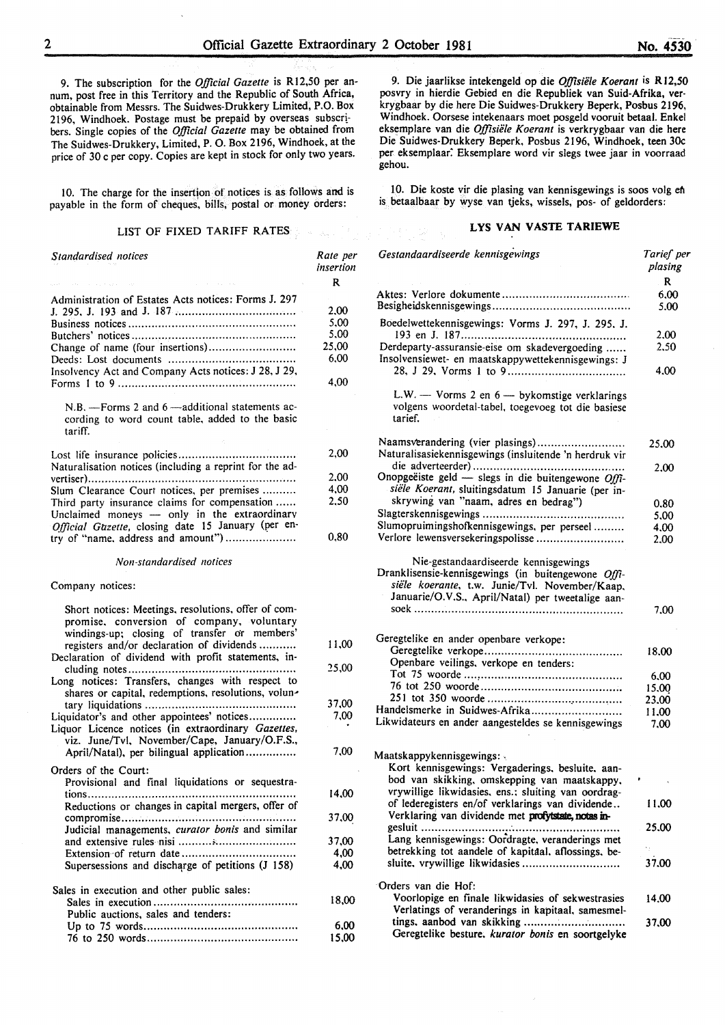9. The subscription for the *Official Gazette* is Rl2,50 per annum, post free in this Territory and the Republic of South Africa, obtainable from Messrs. The Suidwes-Drukkery Limited, P.O. Box 2196, Windhoek. Postage must be prepaid by overseas subscribers. Single copies of the *Official Gazette* may be obtained from The Suidwes-Drukkery, Limited, P. 0. Box 2196, Windhoek, at the price of 30 c per copy. Copies are kept in stock for only two years.

10. The charge for the insertion of notices is as follows and is payable in the form of cheques, bills, postal or money orders:

## LIST OF FIXED TARIFF RATES **Example 2018**

| Standardised notices                                                                                                                                                                          | Rate per<br>insertion |
|-----------------------------------------------------------------------------------------------------------------------------------------------------------------------------------------------|-----------------------|
|                                                                                                                                                                                               | R                     |
| Administration of Estates Acts notices: Forms J. 297                                                                                                                                          |                       |
|                                                                                                                                                                                               | 2,00                  |
|                                                                                                                                                                                               | 5,00                  |
|                                                                                                                                                                                               | 5,00                  |
| Change of name (four insertions)                                                                                                                                                              | 25,00                 |
|                                                                                                                                                                                               | 6.00                  |
| Insolvency Act and Company Acts notices: J 28, J 29,                                                                                                                                          | 4,00                  |
| N.B. - Forms 2 and 6 - additional statements ac-<br>cording to word count table, added to the basic<br>tariff.                                                                                |                       |
|                                                                                                                                                                                               | 2,00                  |
| Naturalisation notices (including a reprint for the ad-                                                                                                                                       |                       |
|                                                                                                                                                                                               | 2,00                  |
| Slum Clearance Court notices, per premises                                                                                                                                                    | 4,00                  |
| Third party insurance claims for compensation                                                                                                                                                 | 2.50                  |
| Unclaimed moneys - only in the extraordinary                                                                                                                                                  |                       |
| Official Gazette, closing date 15 January (per en-                                                                                                                                            |                       |
| try of "name, address and amount")                                                                                                                                                            | 0.80                  |
| Non-standardised notices                                                                                                                                                                      |                       |
| Company notices:                                                                                                                                                                              |                       |
| Short notices: Meetings, resolutions, offer of com-<br>promise, conversion of company, voluntary<br>windings-up; closing of transfer or members'<br>registers and/or declaration of dividends | 11,00                 |
| Declaration of dividend with profit statements, in-                                                                                                                                           |                       |
|                                                                                                                                                                                               | 25,00                 |
| Long notices: Transfers, changes with respect to<br>shares or capital, redemptions, resolutions, volun-                                                                                       |                       |
|                                                                                                                                                                                               | 37,00                 |
| Liquidator's and other appointees' notices<br>Liquor Licence notices (in extraordinary Gazettes,<br>viz. June/Tvl, November/Cape, January/O.F.S.,                                             | 7,00                  |
| April/Natal), per bilingual application                                                                                                                                                       | 7.00                  |
| Orders of the Court:                                                                                                                                                                          |                       |
| Provisional and final liquidations or sequestra-<br>tions                                                                                                                                     | 14,00                 |
| Reductions or changes in capital mergers, offer of                                                                                                                                            |                       |
| compromise<br>Judicial managements, curator bonis and similar                                                                                                                                 | 37,00                 |
|                                                                                                                                                                                               | 37,00                 |
|                                                                                                                                                                                               | 4,00                  |
| Supersessions and discharge of petitions (J 158)                                                                                                                                              | 4.00                  |
| Sales in execution and other public sales:                                                                                                                                                    |                       |
|                                                                                                                                                                                               | 18.00                 |
| Public auctions, sales and tenders:                                                                                                                                                           |                       |
|                                                                                                                                                                                               | 6,00                  |
|                                                                                                                                                                                               | 15,00                 |

9. Die jaarlikse intekengeld op die *Offisiele Koerant* is RJ2,50 posvry in hierdie Gebied en die Republiek van Suid-Afrika, verkrygbaar by die here Die Suidwes-Drukkery Beperk, Posbus 2196, Windhoek. Oorsese intekenaars moet posgeld vooruit betaal. Enkel eksemplare van die *Offisiele Koerant* is verkrygbaar van die here Die Suidwes-Drukkery Beperk, Posbus 2196, Windhoek, teen 30c per eksemplaar: Eksemplare word vir slegs twee jaar in voorraad gehou.

10. Die koste vir die plasing van kennisgewings is soos volg en is betaalbaar by wyse van tjeks, wissels, pos- of geldorders:

#### LYS VAN VASTE TARIEWE

| Gestandaardiseerde kennisgewings                                                                                                                          | Tarief per<br>plasing |
|-----------------------------------------------------------------------------------------------------------------------------------------------------------|-----------------------|
|                                                                                                                                                           | $\mathbf R$           |
|                                                                                                                                                           | 6.00<br>5.00          |
| Boedelwettekennisgewings: Vorms J. 297, J. 295, J.                                                                                                        | 2.00                  |
| Derdeparty-assuransie-eise om skadevergoeding<br>Insolvensiewet- en maatskappywettekennisgewings: J                                                       | 2,50                  |
|                                                                                                                                                           | 4.00                  |
| L.W. $-$ Vorms 2 en $6 -$ by komstige verklarings<br>volgens woordetal-tabel, toegevoeg tot die basiese<br>tarief.                                        |                       |
| Naamsverandering (vier plasings)<br>Naturalisasiekennisgewings (insluitende 'n herdruk vir                                                                | 25.00                 |
| Onopgeëiste geld - slegs in die buitengewone Offi-                                                                                                        | 2.00                  |
| siële Koerant, sluitingsdatum 15 Januarie (per in-                                                                                                        |                       |
| skrywing van "naam, adres en bedrag")                                                                                                                     | 0.80                  |
|                                                                                                                                                           | 5,00                  |
| Slumopruimingshofkennisgewings, per perseel                                                                                                               | 4.00                  |
| Verlore lewensversekeringspolisse                                                                                                                         | 2.00                  |
| Dranklisensie-kennisgewings (in buitengewone Offi-<br>siële koerante, t.w. Junie/Tvl. November/Kaap.<br>Januarie/O.V.S., April/Natal) per tweetalige aan- | 7.00                  |
| Geregtelike en ander openbare verkope:                                                                                                                    |                       |
|                                                                                                                                                           | 18.00                 |
| Openbare veilings, verkope en tenders:                                                                                                                    | 6,00                  |
|                                                                                                                                                           | 15,00                 |
|                                                                                                                                                           | 23.00                 |
| Handelsmerke in Suidwes-Afrika                                                                                                                            | 11.00                 |
| Likwidateurs en ander aangesteldes se kennisgewings                                                                                                       | 7.00                  |
|                                                                                                                                                           |                       |
| Maatskappykennisgewings:<br>Kort kennisgewings: Vergaderings, besluite, aan-                                                                              |                       |
| bod van skikking, omskepping van maatskappy,                                                                                                              |                       |
| vrywillige likwidasies, ens.; sluiting van oordrag-                                                                                                       |                       |
| of lederegisters en/of verklarings van dividende<br>Verklaring van dividende met profytstate, notas in-                                                   | 11.00                 |
| gesluit                                                                                                                                                   | 25,00                 |
| Lang kennisgewings: Oordragte, veranderings met                                                                                                           |                       |
| betrekking tot aandele of kapitaal. aflossings, be-                                                                                                       |                       |
| sluite, vrywillige likwidasies                                                                                                                            | 37.00                 |
|                                                                                                                                                           |                       |
| Orders van die Hof:                                                                                                                                       |                       |
| Voorlopige en finale likwidasies of sekwestrasies                                                                                                         | 14.00                 |
| Verlatings of veranderings in kapitaal, samesmel-                                                                                                         |                       |
| Geregtelike besture, kurator bonis en soortgelyke                                                                                                         | 37.00                 |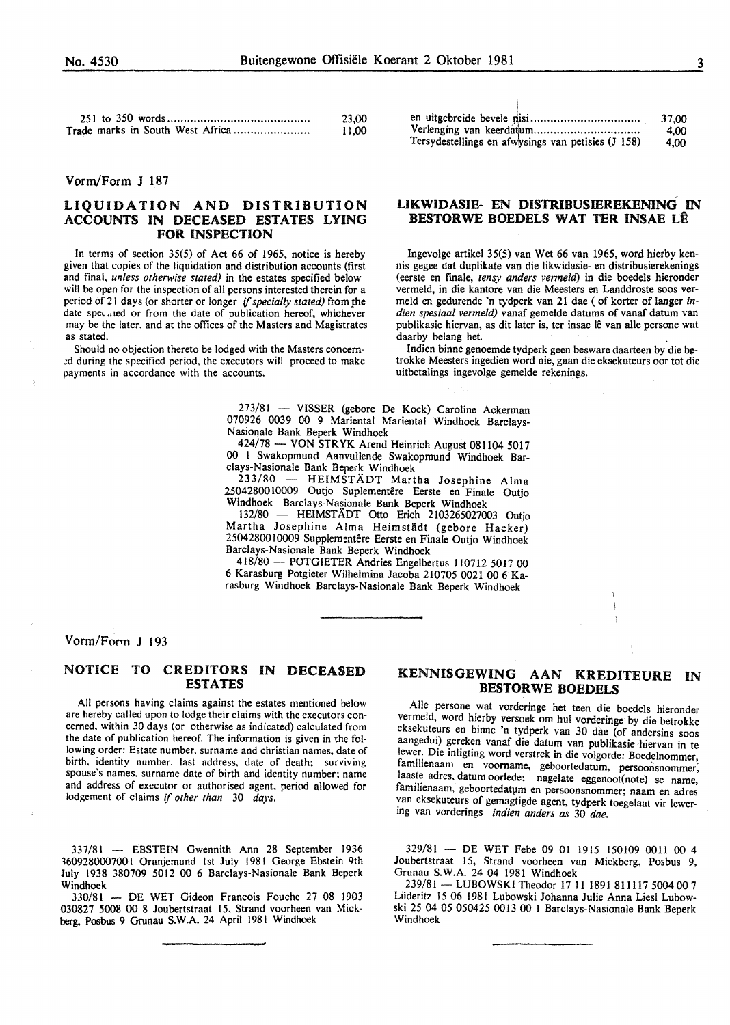| 23,00 |
|-------|
| 11,00 |

#### Vorm/Form J 187

#### LIQUIDATION AND DISTRIBUTION ACCOUNTS IN DECEASED ESTATES LYING **FOR INSPECTION**

In terms of section  $35(5)$  of Act 66 of 1965, notice is hereby given that copies of the liquidation and distribution accounts (first and final, unless otherwise stated) in the estates specified below will be open for the inspection of all persons interested therein for a period of 21 days (or shorter or longer if specially stated) from the date specified or from the date of publication hereof, whichever may be the later, and at the offices of the Masters and Magistrates as stated.

Should no objection thereto be lodged with the Masters concerned during the specified period, the executors will proceed to make payments in accordance with the accounts.

|                                                    | 37.00 |
|----------------------------------------------------|-------|
|                                                    | 4.00  |
| Tersydestellings en afwysings van petisies (J 158) | 4.00  |

#### LIKWIDASIE- EN DISTRIBUSIEREKENING IN BESTORWE BOEDELS WAT TER INSAE LÊ

Ingevolge artikel 35(5) van Wet 66 van 1965, word hierby kennis gegee dat duplikate van die likwidasie- en distribusierekenings (eerste en finale, tensy anders vermeld) in die boedels hieronder vermeld, in die kantore van die Meesters en Landdroste soos vermeld en gedurende 'n tydperk van 21 dae ( of korter of langer indien spesiaal vermeld) vanaf gemelde datums of vanaf datum van publikasie hiervan, as dit later is, ter insae lê van alle persone wat daarby belang het.

Indien binne genoemde tydperk geen besware daarteen by die betrokke Meesters ingedien word nie, gaan die eksekuteurs oor tot die uitbetalings ingevolge gemelde rekenings.

273/81 - VISSER (gebore De Kock) Caroline Ackerman 070926 0039 00 9 Mariental Mariental Windhoek Barclays-Nasionale Bank Beperk Windhoek

424/78 - VON STRYK Arend Heinrich August 081104 5017 00 1 Swakopmund Aanvullende Swakopmund Windhoek Barclays-Nasionale Bank Beperk Windhoek

- HEIMSTÄDT Martha Josephine Alma  $233/80 =$ 2504280010009 Outjo Suplementêre Eerste en Finale Outjo Windhoek Barclays-Nasionale Bank Beperk Windhoek

132/80 - HEIMSTÄDT Otto Erich 2103265027003 Outjo Martha Josephine Alma Heimstädt (gebore Hacker) 2504280010009 Supplementêre Eerste en Finale Outjo Windhoek Barclays-Nasionale Bank Beperk Windhoek

418/80 - POTGIETER Andries Engelbertus 110712 5017 00 6 Karasburg Potgieter Wilhelmina Jacoba 210705 0021 00 6 Karasburg Windhoek Barclays-Nasionale Bank Beperk Windhoek

#### Vorm/Form J 193

#### NOTICE TO CREDITORS IN DECEASED **ESTATES**

All persons having claims against the estates mentioned below are hereby called upon to lodge their claims with the executors concerned, within 30 days (or otherwise as indicated) calculated from the date of publication hereof. The information is given in the following order: Estate number, surname and christian names, date of birth, identity number, last address, date of death; surviving spouse's names, surname date of birth and identity number; name and address of executor or authorised agent, period allowed for lodgement of claims if other than 30 days.

337/81 - EBSTEIN Gwennith Ann 28 September 1936 3609280007001 Oranjemund 1st July 1981 George Ebstein 9th July 1938 380709 5012 00 6 Barclays-Nasionale Bank Beperk Windhoek

330/81 - DE WET Gideon Francois Fouche 27 08 1903 030827 5008 00 8 Joubertstraat 15. Strand voorheen van Mickberg, Posbus 9 Grunau S.W.A. 24 April 1981 Windhoek

#### KENNISGEWING AAN KREDITEURE IN **BESTORWE BOEDELS**

Alle persone wat vorderinge het teen die boedels hieronder vermeld, word hierby versoek om hul vorderinge by die betrokke eksekuteurs en binne 'n tydperk van 30 dae (of andersins soos aangedui) gereken vanaf die datum van publikasie hiervan in te lewer. Die inligting word verstrek in die volgorde: Boedelnommer, familienaam en voorname, geboortedatum, persoonsnommer, laaste adres, datum oorlede; nagelate eggenoot(note) se name, familienaam, geboortedatum en persoonsnommer; naam en adres van eksekuteurs of gemagtigde agent, tydperk toegelaat vir lewering van vorderings indien anders as 30 dae.

329/81 - DE WET Febe 09 01 1915 150109 0011 00 4 Joubertstraat 15, Strand voorheen van Mickberg, Posbus 9, Grunau S.W.A. 24 04 1981 Windhoek

239/81 - LUBOWSKI Theodor 17 11 1891 811117 5004 00 7 Lüderitz 15 06 1981 Lubowski Johanna Julie Anna Liesl Lubowski 25 04 05 050425 0013 00 1 Barclays-Nasionale Bank Beperk Windhoek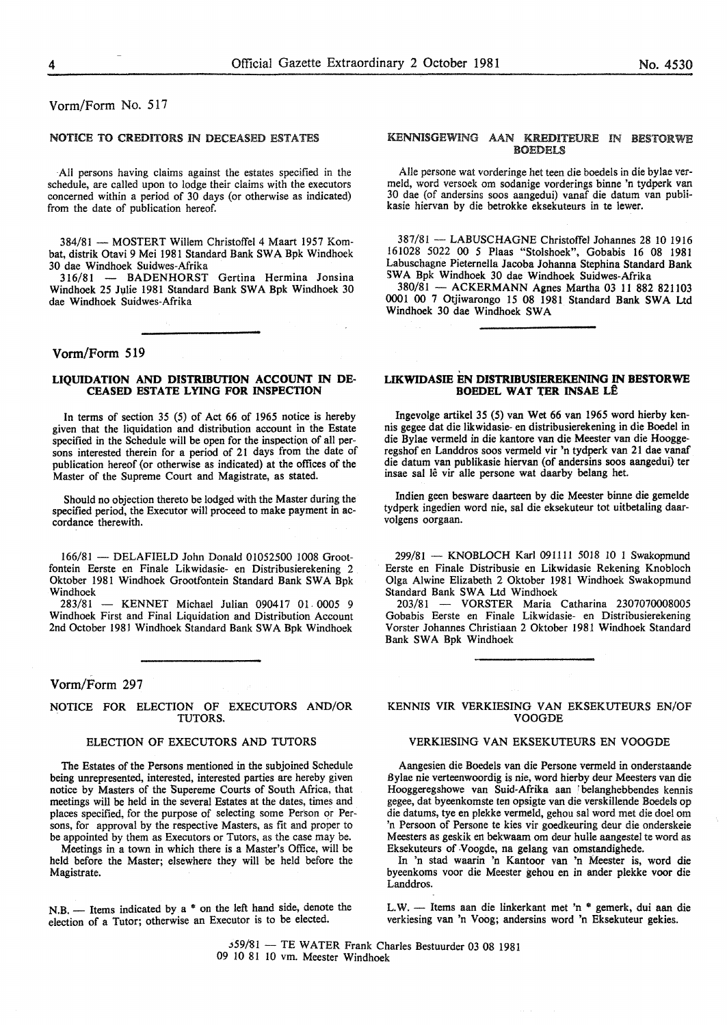#### Vorm/Form No. 517

#### NOTICE TO CREDITORS IN DECEASED ESTATES

All persons having claims against the estates specified in the schedule, are called upon to lodge their claims with the executors concerned within a period of 30 days (or otherwise as indicated) from the date of publication hereof.

384/81 - MOSTERT Willem Christoffel 4 Maart 1957 Kombat, distrik Otavi 9 Mei 1981 Standard Bank SWA Bpk Windhoek 30 dae Windhoek Suidwes-Afrika<br>316/81 - BADENHORST

- BADENHORST Gertina Hermina Jonsina Windhoek 25 Julie 1981 Standard Bank SWA Bpk Windhoek 30 dae Windhoek Suidwes-Afrika

#### Vorm/Form 519

#### LIQUIDATION AND DISTRIBUTION ACCOUNT IN DE-CEASED ESTATE LYING FOR INSPECTION

In terms of section 35 (5) of Act 66 of 1965 notice is hereby given that the liquidation and distribution account in the Estate specified in the Schedule will be open for the inspection of all persons interested therein for a period of 21 days from the date of publication hereof (or otherwise as indicated) at the offices of the Master of the Supreme Court and Magistrate, as stated.

Should no objection thereto be lodged with the Master during the specified period, the Executor will proceed to make payment in accordance therewith.

166/81 - DELAFIELD John Donald 01052500 1008 Grootfontein Eerste en Finale Likwidasie- en Distribusierekening 2 Oktober 1981 Windhoek Grootfontein Standard Bank SWA Bpk Windhoek

283/81 - KENNET Michael Julian 090417 01 0005 9 Windhoek First and Final Liquidation and Distribution Account 2nd October 1981 Windhoek Standard Bank SWA Bpk Windhoek

#### Vorm/Form 297

#### NOTICE FOR ELECTION OF EXECUTORS AND/OR TUTORS.

#### ELECTION OF EXECUTORS AND TUTORS

The Estates of the Persons mentioned in the subjoined Schedule being unrepresented, interested, interested parties are hereby given notice by Masters of the Supereme Courts of South Africa, that meetings will be held in the several Estates at the dates, times and places specified, for the purpose of selecting some Person or Persons, for approval by the respective Masters, as fit and proper to be appointed by them as Executors or Tutors, as the case may be.

Meetings in a town in which there is a Master's Office, will be held before the Master; elsewhere they will be held before the Magistrate.

 $N.B.$  - Items indicated by a  $*$  on the left hand side, denote the election of a Tutor; otherwise an Executor is to be elected.

#### KENNISGEWING AAN KREDITEURE IN BESTORWE **BOEDELS**

Aile persone wat vorderinge het teen die boedels in die bylae vermeld, word versoek om sodanige vorderings binne 'n tydperk van 30 dae (of andersins soos aangedui) vanaf die datum van pubiikasie hiervan by die betrokke eksekuteurs in te lewer.

387/81 - LABUSCHAGNE Christoffel Johannes 28 10 1916 161028 5022 00 *5* Plaas "Stolshoek", Gobabis 16 08 1981 Labuschagne Pieternella Jacoba Johanna Stephina Standard Bank SWA Bpk Windhoek 30 dae Windhoek Suidwes-Mrika

380/81 - ACKERMANN Agnes Martha 03 11 882 821103 0001 00 7 Otjiwarongo 15 08 1981 Standard Bank SWA Ltd Windhoek 30 dae Windhoek SWA

#### LIKWIDASIE EN DISTRIBUSIEREKENING IN BESTORWE BOEDEL WAT TER INSAE LÊ

Ingevolge artikel 35 (5) van Wet 66 van 1965 word hierby kennis gegee dat die likwidasie- en distribusierekening in die Boedel in die Bylae vermeld in die kantore van die Meester van die Hooggeregshof en Landdros soos vermeld vir 'n tydperk van 21 dae vanaf die datum van publikasie hiervan (of andersins soos aangedui) ter insae sal lê vir alle persone wat daarby belang het.

Indien geen besware daarteen by die Meester binne die gemelde tydperk ingedien word nie, sal die eksekuteur tot uitbetaling daarvolgens oorgaan.

299/81 - KNOBLOCH Karl 091111 5018 10 1 Swakopmund Eerste en Finale Distribusie en Likwidasie Rekening Knobloch Olga Alwine Elizabeth 2 Oktober 1981 Windhoek Swakopmund Standard Bank SWA Ltd Windhoek

203/81 - VORSTER Maria Catharina 2307070008005 Gobabis Eerste en Finale Likwidasie- en Distribusierekening Vorster Johannes Christiaan 2 Oktober 1981 Windhoek Standard Bank SWA Bpk Windhoek

#### KENNIS VIR VERKIESING VAN EKSEKUTEURS EN/OF VOOGDE

#### VERKIESING VAN EKSEKUTEURS EN VOOGDE

Aangesien die Boedels van die Persone vermeld in onderstaande Bylae nie verteenwoordig is nie, word hierby deur Meesters van die Hooggeregshowe van Suid-Afrika aan belanghebbendes kennis gegee, dat byeenkomste ten opsigte van die verskillende Boedels op die datums, tye en plekke vermeld, gehou sal word met die doe! om 'n Persoon of Persone te kies vir goedkeuring deur die onderskeie Meesters as geskik en bekwaarn om deur hulle aangestel te word as Eksekuteurs of .Voogde, na gelang van omstandighede.

In 'n stad waarin 'n Kantoor van 'n Meester is, word die byeenkoms voor die Meester gehou en in ander plekke voor die Landdros.

L.W. - Items aan die linkerkant met 'n \* gemerk, dui aan die verkiesing van 'n Voog; andersins word 'n Eksekuteur gekies.

j59/81 - TE WATER Frank Charles Bestuurder 03 08 1981 09 10 81 10 vm. Meester Windhoek